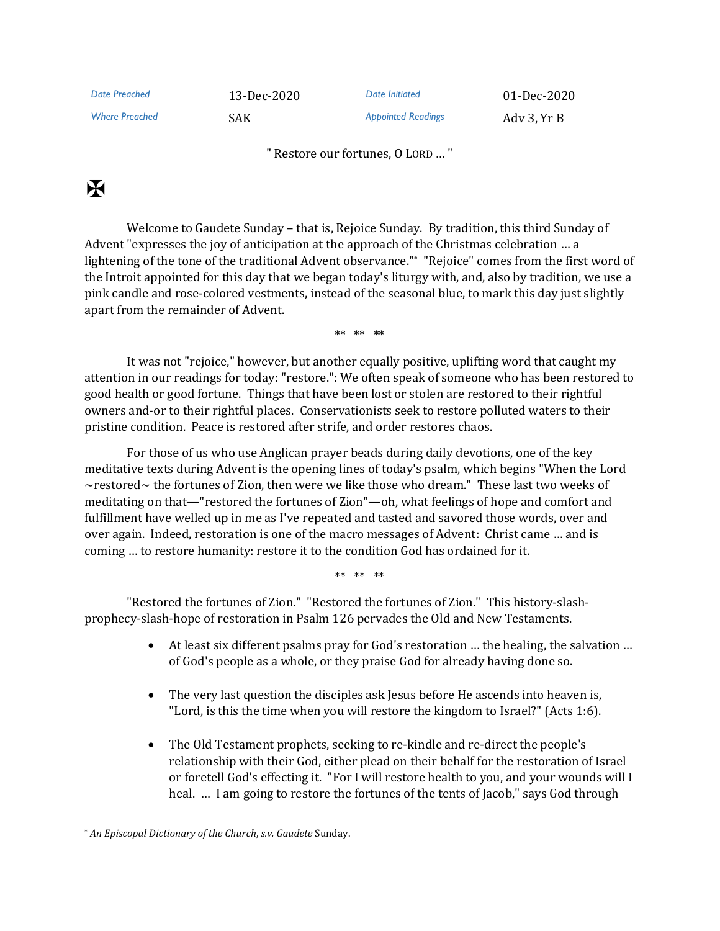| Date Preached         | 13-Dec-2020 | Date Initiated            | 01-Dec-2020 |
|-----------------------|-------------|---------------------------|-------------|
| <b>Where Preached</b> | SAK.        | <b>Appointed Readings</b> | Ady 3, Yr B |

" Restore our fortunes, O LORD … "

## $\mathbf K$

Welcome to Gaudete Sunday – that is, Rejoice Sunday. By tradition, this third Sunday of Advent "expresses the joy of anticipation at the approach of the Christmas celebration … a lightening of the tone of the traditional Advent observance." \* "Rejoice" comes from the first word of the Introit appointed for this day that we began today's liturgy with, and, also by tradition, we use a pink candle and rose-colored vestments, instead of the seasonal blue, to mark this day just slightly apart from the remainder of Advent.

\*\* \*\* \*\*

It was not "rejoice," however, but another equally positive, uplifting word that caught my attention in our readings for today: "restore.": We often speak of someone who has been restored to good health or good fortune. Things that have been lost or stolen are restored to their rightful owners and-or to their rightful places. Conservationists seek to restore polluted waters to their pristine condition. Peace is restored after strife, and order restores chaos.

For those of us who use Anglican prayer beads during daily devotions, one of the key meditative texts during Advent is the opening lines of today's psalm, which begins "When the Lord ~restored~ the fortunes of Zion, then were we like those who dream." These last two weeks of meditating on that—"restored the fortunes of Zion"—oh, what feelings of hope and comfort and fulfillment have welled up in me as I've repeated and tasted and savored those words, over and over again. Indeed, restoration is one of the macro messages of Advent: Christ came … and is coming … to restore humanity: restore it to the condition God has ordained for it.

\*\* \*\* \*\*

"Restored the fortunes of Zion." "Restored the fortunes of Zion." This history-slashprophecy-slash-hope of restoration in Psalm 126 pervades the Old and New Testaments.

- At least six different psalms pray for God's restoration ... the healing, the salvation ... of God's people as a whole, or they praise God for already having done so.
- The very last question the disciples ask Jesus before He ascends into heaven is, "Lord, is this the time when you will restore the kingdom to Israel?" (Acts 1:6).
- The Old Testament prophets, seeking to re-kindle and re-direct the people's relationship with their God, either plead on their behalf for the restoration of Israel or foretell God's effecting it. "For I will restore health to you, and your wounds will I heal. … I am going to restore the fortunes of the tents of Jacob," says God through

<sup>\*</sup> *An Episcopal Dictionary of the Church*, *s.v. Gaudete* Sunday.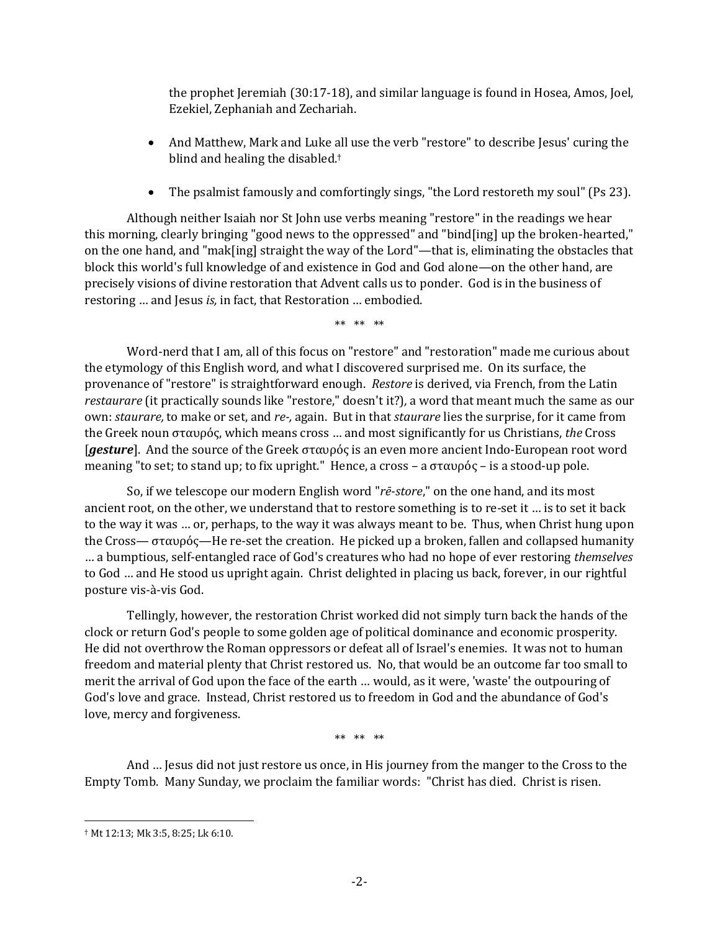the prophet Jeremiah (30:17-18), and similar language is found in Hosea, Amos, Joel, Ezekiel, Zephaniah and Zechariah.

- And Matthew, Mark and Luke all use the verb "restore" to describe Jesus' curing the blind and healing the disabled.†
- The psalmist famously and comfortingly sings, "the Lord restoreth my soul" (Ps 23).

Although neither Isaiah nor St John use verbs meaning "restore" in the readings we hear this morning, clearly bringing "good news to the oppressed" and "bind[ing] up the broken-hearted," on the one hand, and "mak[ing] straight the way of the Lord"—that is, eliminating the obstacles that block this world's full knowledge of and existence in God and God alone—on the other hand, are precisely visions of divine restoration that Advent calls us to ponder. God is in the business of restoring … and Jesus *is,* in fact, that Restoration … embodied.

\*\* \*\* \*\*

Word-nerd that I am, all of this focus on "restore" and "restoration" made me curious about the etymology of this English word, and what I discovered surprised me. On its surface, the provenance of "restore" is straightforward enough. *Restore* is derived, via French, from the Latin *restaurare* (it practically sounds like "restore," doesn't it?)*,* a word that meant much the same as our own: *staurare,* to make or set, and *re-,* again. But in that *staurare* lies the surprise, for it came from the Greek noun σταυρός, which means cross … and most significantly for us Christians, *the* Cross [*gesture*]. And the source of the Greek σταυρός is an even more ancient Indo-European root word meaning "to set; to stand up; to fix upright." Hence, a cross – a σταυρός – is a stood-up pole.

So, if we telescope our modern English word "*rē*-*store*," on the one hand, and its most ancient root, on the other, we understand that to restore something is to re-set it … is to set it back to the way it was … or, perhaps, to the way it was always meant to be. Thus, when Christ hung upon the Cross— σταυρός—He re-set the creation. He picked up a broken, fallen and collapsed humanity … a bumptious, self-entangled race of God's creatures who had no hope of ever restoring *themselves* to God … and He stood us upright again. Christ delighted in placing us back, forever, in our rightful posture vis-à-vis God.

Tellingly, however, the restoration Christ worked did not simply turn back the hands of the clock or return God's people to some golden age of political dominance and economic prosperity. He did not overthrow the Roman oppressors or defeat all of Israel's enemies. It was not to human freedom and material plenty that Christ restored us. No, that would be an outcome far too small to merit the arrival of God upon the face of the earth … would, as it were, 'waste' the outpouring of God's love and grace. Instead, Christ restored us to freedom in God and the abundance of God's love, mercy and forgiveness.

\*\* \*\* \*\*

And … Jesus did not just restore us once, in His journey from the manger to the Cross to the Empty Tomb. Many Sunday, we proclaim the familiar words: "Christ has died. Christ is risen.

<sup>†</sup> Mt 12:13; Mk 3:5, 8:25; Lk 6:10.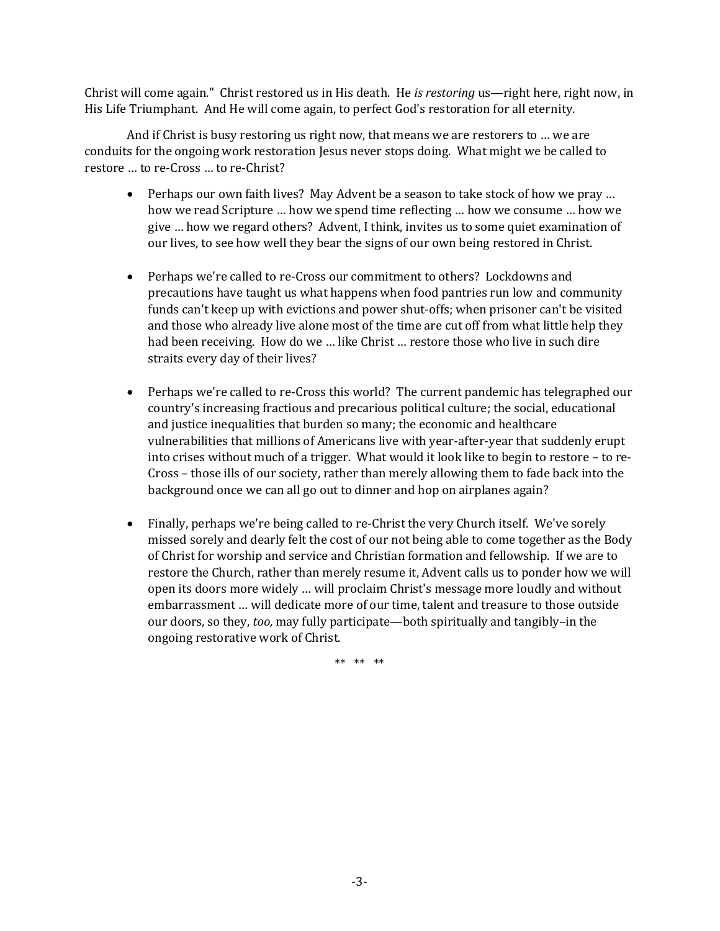Christ will come again." Christ restored us in His death. He *is restoring* us—right here, right now, in His Life Triumphant. And He will come again, to perfect God's restoration for all eternity.

And if Christ is busy restoring us right now, that means we are restorers to … we are conduits for the ongoing work restoration Jesus never stops doing. What might we be called to restore … to re-Cross … to re-Christ?

- Perhaps our own faith lives? May Advent be a season to take stock of how we pray ... how we read Scripture … how we spend time reflecting … how we consume … how we give … how we regard others? Advent, I think, invites us to some quiet examination of our lives, to see how well they bear the signs of our own being restored in Christ.
- Perhaps we're called to re-Cross our commitment to others? Lockdowns and precautions have taught us what happens when food pantries run low and community funds can't keep up with evictions and power shut-offs; when prisoner can't be visited and those who already live alone most of the time are cut off from what little help they had been receiving. How do we … like Christ … restore those who live in such dire straits every day of their lives?
- Perhaps we're called to re-Cross this world? The current pandemic has telegraphed our country's increasing fractious and precarious political culture; the social, educational and justice inequalities that burden so many; the economic and healthcare vulnerabilities that millions of Americans live with year-after-year that suddenly erupt into crises without much of a trigger. What would it look like to begin to restore – to re-Cross – those ills of our society, rather than merely allowing them to fade back into the background once we can all go out to dinner and hop on airplanes again?
- Finally, perhaps we're being called to re-Christ the very Church itself. We've sorely missed sorely and dearly felt the cost of our not being able to come together as the Body of Christ for worship and service and Christian formation and fellowship. If we are to restore the Church, rather than merely resume it, Advent calls us to ponder how we will open its doors more widely … will proclaim Christ's message more loudly and without embarrassment … will dedicate more of our time, talent and treasure to those outside our doors, so they, *too,* may fully participate—both spiritually and tangibly–in the ongoing restorative work of Christ.

\*\* \*\* \*\*